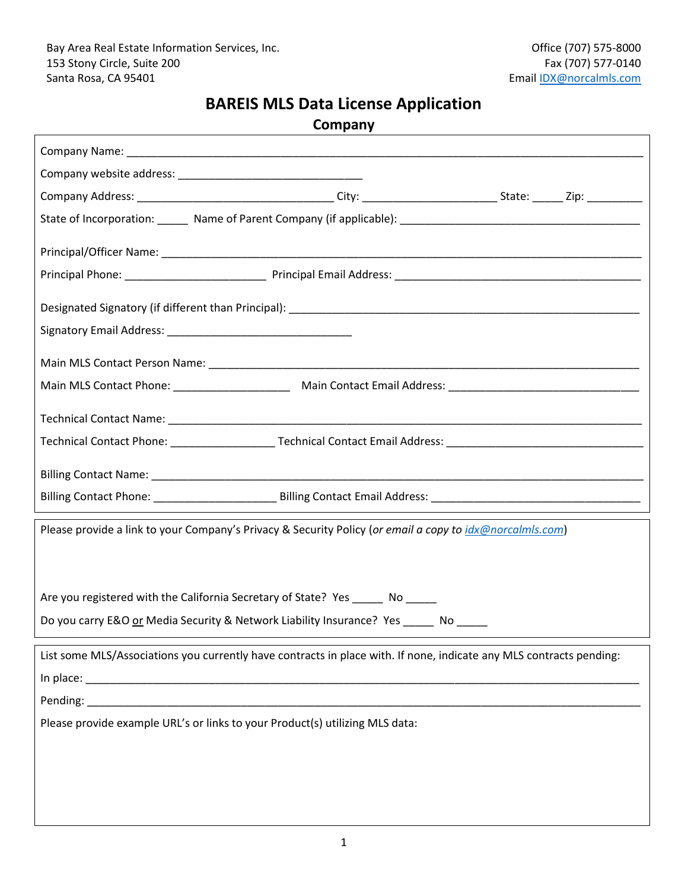## **BAREIS MLS Data License Application**

**Company**

| Please provide a link to your Company's Privacy & Security Policy (or email a copy to idx@norcalmls.com)            |  |
|---------------------------------------------------------------------------------------------------------------------|--|
|                                                                                                                     |  |
|                                                                                                                     |  |
| Are you registered with the California Secretary of State? Yes ______ No                                            |  |
| Do you carry E&O or Media Security & Network Liability Insurance? Yes _____ No ____                                 |  |
|                                                                                                                     |  |
| List some MLS/Associations you currently have contracts in place with. If none, indicate any MLS contracts pending: |  |
|                                                                                                                     |  |
|                                                                                                                     |  |
| Please provide example URL's or links to your Product(s) utilizing MLS data:                                        |  |
|                                                                                                                     |  |
|                                                                                                                     |  |
|                                                                                                                     |  |
|                                                                                                                     |  |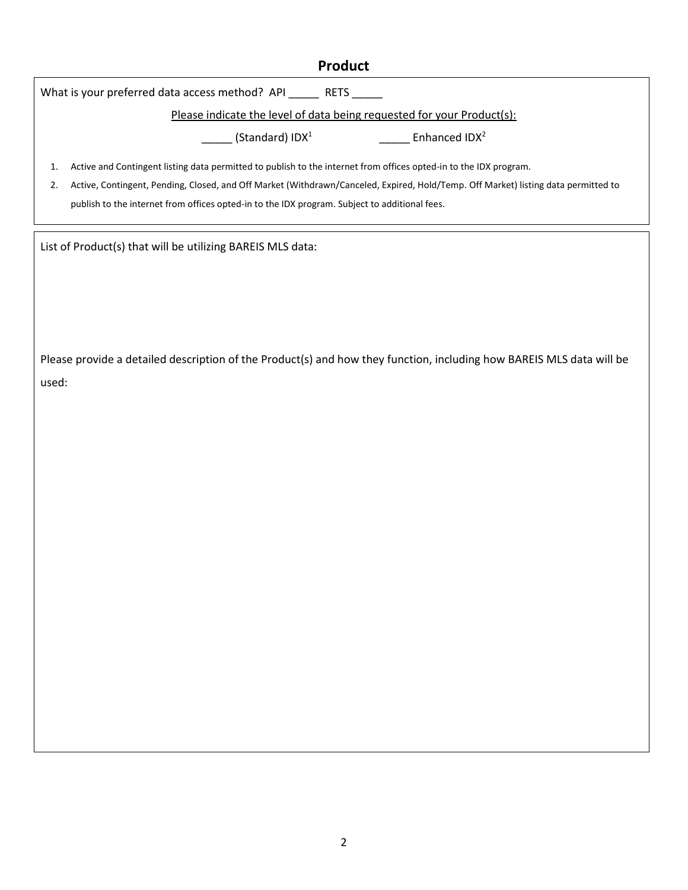### **Product**

What is your preferred data access method? API \_\_\_\_\_\_ RETS \_\_\_\_\_

Please indicate the level of data being requested for your Product(s):

 $\frac{1}{\sqrt{2}}$  (Standard) IDX<sup>1</sup>

\_\_\_\_\_\_ Enhanced IDX<sup>2</sup>

1. Active and Contingent listing data permitted to publish to the internet from offices opted-in to the IDX program.

2. Active, Contingent, Pending, Closed, and Off Market (Withdrawn/Canceled, Expired, Hold/Temp. Off Market) listing data permitted to publish to the internet from offices opted-in to the IDX program. Subject to additional fees.

List of Product(s) that will be utilizing BAREIS MLS data:

Please provide a detailed description of the Product(s) and how they function, including how BAREIS MLS data will be used: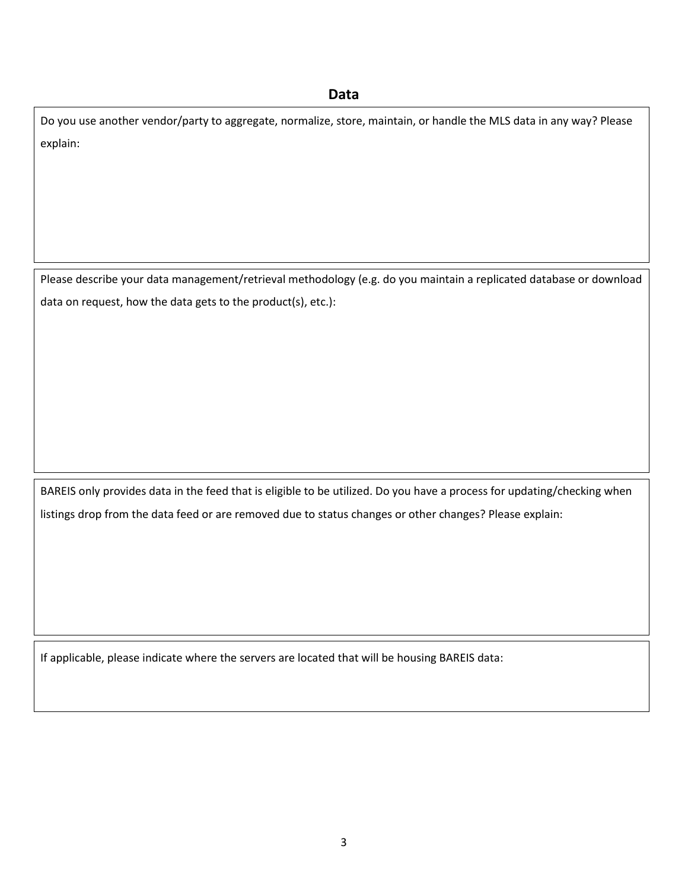#### **Data**

Do you use another vendor/party to aggregate, normalize, store, maintain, or handle the MLS data in any way? Please explain:

Please describe your data management/retrieval methodology (e.g. do you maintain a replicated database or download data on request, how the data gets to the product(s), etc.):

BAREIS only provides data in the feed that is eligible to be utilized. Do you have a process for updating/checking when listings drop from the data feed or are removed due to status changes or other changes? Please explain:

If applicable, please indicate where the servers are located that will be housing BAREIS data: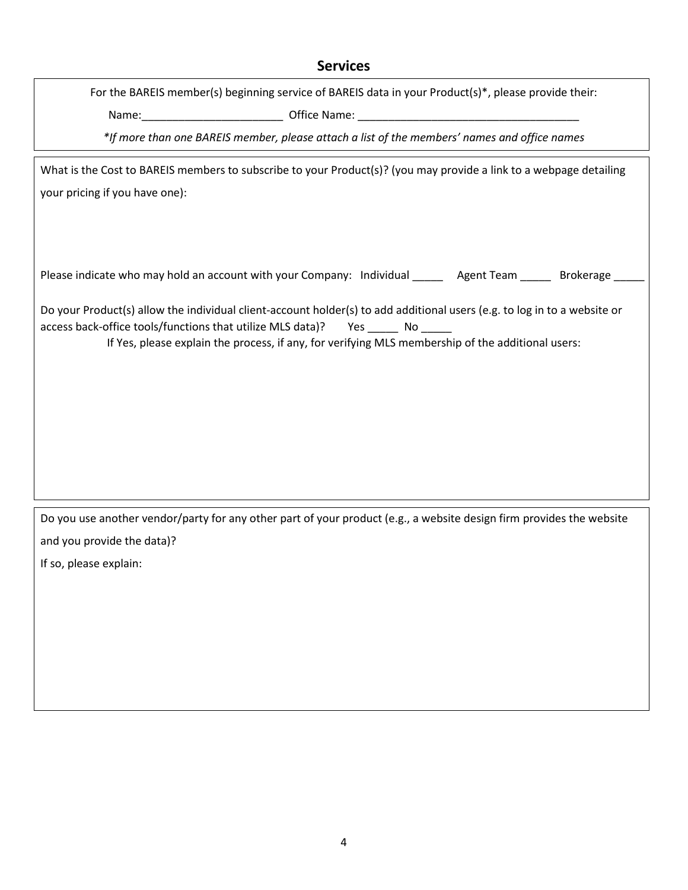#### **Services**

For the BAREIS member(s) beginning service of BAREIS data in your Product(s)\*, please provide their: Name:\_\_\_\_\_\_\_\_\_\_\_\_\_\_\_\_\_\_\_\_\_\_\_ Office Name: \_\_\_\_\_\_\_\_\_\_\_\_\_\_\_\_\_\_\_\_\_\_\_\_\_\_\_\_\_\_\_\_\_\_\_\_

*\*If more than one BAREIS member, please attach a list of the members' names and office names*

What is the Cost to BAREIS members to subscribe to your Product(s)? (you may provide a link to a webpage detailing your pricing if you have one):

Please indicate who may hold an account with your Company: Individual \_\_\_\_\_ Agent Team \_\_\_\_\_ Brokerage \_

Do your Product(s) allow the individual client-account holder(s) to add additional users (e.g. to log in to a website or access back-office tools/functions that utilize MLS data)? Yes \_\_\_\_\_ No \_\_\_\_\_

If Yes, please explain the process, if any, for verifying MLS membership of the additional users:

Do you use another vendor/party for any other part of your product (e.g., a website design firm provides the website and you provide the data)?

If so, please explain: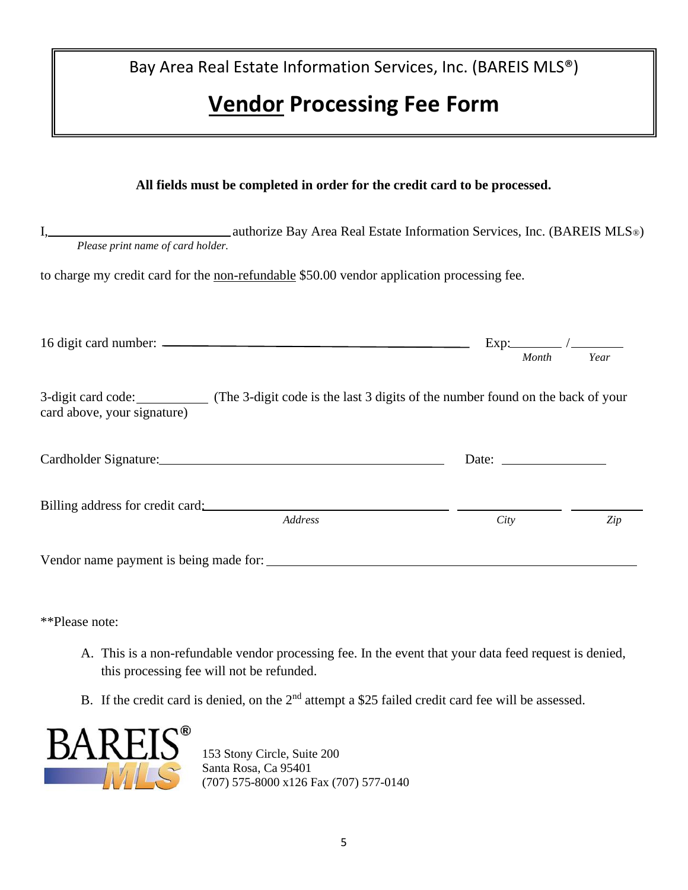Bay Area Real Estate Information Services, Inc. (BAREIS MLS®)

# **Vendor Processing Fee Form**

| All fields must be completed in order for the credit card to be processed.                                                       |                                                                                                                                                                                                                                                                                                                                                                                                               |      |  |  |  |
|----------------------------------------------------------------------------------------------------------------------------------|---------------------------------------------------------------------------------------------------------------------------------------------------------------------------------------------------------------------------------------------------------------------------------------------------------------------------------------------------------------------------------------------------------------|------|--|--|--|
| authorize Bay Area Real Estate Information Services, Inc. (BAREIS MLS®)<br>Please print name of card holder.                     |                                                                                                                                                                                                                                                                                                                                                                                                               |      |  |  |  |
| to charge my credit card for the non-refundable \$50.00 vendor application processing fee.                                       |                                                                                                                                                                                                                                                                                                                                                                                                               |      |  |  |  |
|                                                                                                                                  | Month                                                                                                                                                                                                                                                                                                                                                                                                         | Year |  |  |  |
| 3-digit card code: (The 3-digit code is the last 3 digits of the number found on the back of your<br>card above, your signature) |                                                                                                                                                                                                                                                                                                                                                                                                               |      |  |  |  |
|                                                                                                                                  | Date: $\frac{1}{\sqrt{1-\frac{1}{2}}\sqrt{1-\frac{1}{2}}\sqrt{1-\frac{1}{2}}\sqrt{1-\frac{1}{2}}\sqrt{1-\frac{1}{2}}\sqrt{1-\frac{1}{2}}\sqrt{1-\frac{1}{2}}\sqrt{1-\frac{1}{2}}\sqrt{1-\frac{1}{2}}\sqrt{1-\frac{1}{2}}\sqrt{1-\frac{1}{2}}\sqrt{1-\frac{1}{2}}\sqrt{1-\frac{1}{2}}\sqrt{1-\frac{1}{2}}\sqrt{1-\frac{1}{2}}\sqrt{1-\frac{1}{2}}\sqrt{1-\frac{1}{2}}\sqrt{1-\frac{1}{2}}\sqrt{1-\frac{1}{2}}$ |      |  |  |  |
| Address                                                                                                                          | City                                                                                                                                                                                                                                                                                                                                                                                                          | Zip  |  |  |  |
|                                                                                                                                  |                                                                                                                                                                                                                                                                                                                                                                                                               |      |  |  |  |

\*\*Please note:

- A. This is a non-refundable vendor processing fee. In the event that your data feed request is denied, this processing fee will not be refunded.
- B. If the credit card is denied, on the 2<sup>nd</sup> attempt a \$25 failed credit card fee will be assessed.



153 Stony Circle, Suite 200 Santa Rosa, Ca 95401 (707) 575-8000 x126 Fax (707) 577-0140